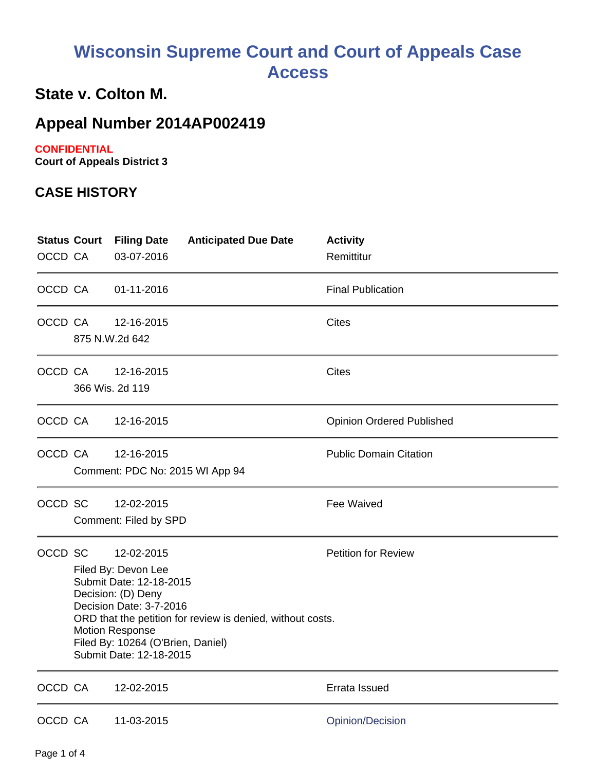# **Wisconsin Supreme Court and Court of Appeals Case Access**

## **State v. Colton M.**

## **Appeal Number 2014AP002419**

#### **CONFIDENTIAL**

**Court of Appeals District 3**

#### **CASE HISTORY**

| <b>Status Court</b><br>OCCD CA |                                                                                                                                                                                                                                                                       | <b>Filing Date</b><br>03-07-2016              | <b>Anticipated Due Date</b> | <b>Activity</b><br>Remittitur    |
|--------------------------------|-----------------------------------------------------------------------------------------------------------------------------------------------------------------------------------------------------------------------------------------------------------------------|-----------------------------------------------|-----------------------------|----------------------------------|
| OCCD CA                        |                                                                                                                                                                                                                                                                       | 01-11-2016                                    |                             | <b>Final Publication</b>         |
| OCCD CA                        |                                                                                                                                                                                                                                                                       | 12-16-2015<br>875 N.W.2d 642                  |                             | <b>Cites</b>                     |
| OCCD CA                        |                                                                                                                                                                                                                                                                       | 12-16-2015<br>366 Wis. 2d 119                 |                             | <b>Cites</b>                     |
| OCCD CA                        |                                                                                                                                                                                                                                                                       | 12-16-2015                                    |                             | <b>Opinion Ordered Published</b> |
| OCCD CA                        |                                                                                                                                                                                                                                                                       | 12-16-2015<br>Comment: PDC No: 2015 WI App 94 |                             | <b>Public Domain Citation</b>    |
| OCCD SC                        |                                                                                                                                                                                                                                                                       | 12-02-2015<br>Comment: Filed by SPD           |                             | Fee Waived                       |
| OCCD SC                        | 12-02-2015<br>Filed By: Devon Lee<br>Submit Date: 12-18-2015<br>Decision: (D) Deny<br>Decision Date: 3-7-2016<br>ORD that the petition for review is denied, without costs.<br><b>Motion Response</b><br>Filed By: 10264 (O'Brien, Daniel)<br>Submit Date: 12-18-2015 |                                               |                             | <b>Petition for Review</b>       |
| OCCD CA                        |                                                                                                                                                                                                                                                                       | 12-02-2015                                    |                             | Errata Issued                    |
| OCCD CA                        |                                                                                                                                                                                                                                                                       | 11-03-2015                                    |                             | Opinion/Decision                 |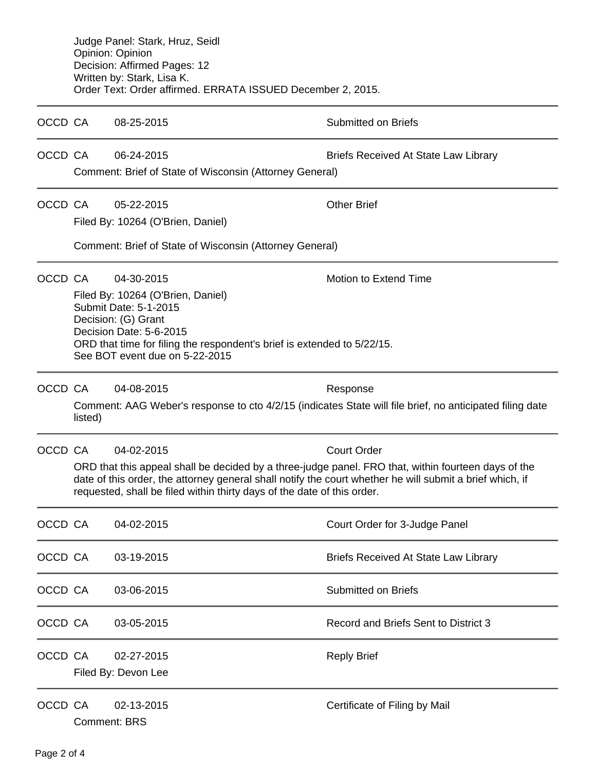|         | Judge Panel: Stark, Hruz, Seidl<br>Opinion: Opinion<br>Decision: Affirmed Pages: 12<br>Written by: Stark, Lisa K.<br>Order Text: Order affirmed. ERRATA ISSUED December 2, 2015.                                                                                                                                               |                                                                                                                                                                                                                                         |                                                                                                                      |  |  |  |
|---------|--------------------------------------------------------------------------------------------------------------------------------------------------------------------------------------------------------------------------------------------------------------------------------------------------------------------------------|-----------------------------------------------------------------------------------------------------------------------------------------------------------------------------------------------------------------------------------------|----------------------------------------------------------------------------------------------------------------------|--|--|--|
| OCCD CA |                                                                                                                                                                                                                                                                                                                                | 08-25-2015                                                                                                                                                                                                                              | <b>Submitted on Briefs</b>                                                                                           |  |  |  |
| OCCD CA |                                                                                                                                                                                                                                                                                                                                | 06-24-2015<br>Comment: Brief of State of Wisconsin (Attorney General)                                                                                                                                                                   | <b>Briefs Received At State Law Library</b>                                                                          |  |  |  |
| OCCD CA |                                                                                                                                                                                                                                                                                                                                | 05-22-2015<br>Filed By: 10264 (O'Brien, Daniel)<br>Comment: Brief of State of Wisconsin (Attorney General)                                                                                                                              | <b>Other Brief</b>                                                                                                   |  |  |  |
| OCCD CA |                                                                                                                                                                                                                                                                                                                                | 04-30-2015<br>Filed By: 10264 (O'Brien, Daniel)<br>Submit Date: 5-1-2015<br>Decision: (G) Grant<br>Decision Date: 5-6-2015<br>ORD that time for filing the respondent's brief is extended to 5/22/15.<br>See BOT event due on 5-22-2015 | Motion to Extend Time                                                                                                |  |  |  |
| OCCD CA | listed)                                                                                                                                                                                                                                                                                                                        | 04-08-2015                                                                                                                                                                                                                              | Response<br>Comment: AAG Weber's response to cto 4/2/15 (indicates State will file brief, no anticipated filing date |  |  |  |
| OCCD CA | <b>Court Order</b><br>04-02-2015<br>ORD that this appeal shall be decided by a three-judge panel. FRO that, within fourteen days of the<br>date of this order, the attorney general shall notify the court whether he will submit a brief which, if<br>requested, shall be filed within thirty days of the date of this order. |                                                                                                                                                                                                                                         |                                                                                                                      |  |  |  |
| OCCD CA |                                                                                                                                                                                                                                                                                                                                | 04-02-2015                                                                                                                                                                                                                              | Court Order for 3-Judge Panel                                                                                        |  |  |  |
| OCCD CA |                                                                                                                                                                                                                                                                                                                                | 03-19-2015                                                                                                                                                                                                                              | <b>Briefs Received At State Law Library</b>                                                                          |  |  |  |
| OCCD CA |                                                                                                                                                                                                                                                                                                                                | 03-06-2015                                                                                                                                                                                                                              | <b>Submitted on Briefs</b>                                                                                           |  |  |  |
| OCCD CA |                                                                                                                                                                                                                                                                                                                                | 03-05-2015                                                                                                                                                                                                                              | Record and Briefs Sent to District 3                                                                                 |  |  |  |
| OCCD CA |                                                                                                                                                                                                                                                                                                                                | 02-27-2015<br>Filed By: Devon Lee                                                                                                                                                                                                       | <b>Reply Brief</b>                                                                                                   |  |  |  |
| OCCD CA |                                                                                                                                                                                                                                                                                                                                | 02-13-2015<br><b>Comment: BRS</b>                                                                                                                                                                                                       | Certificate of Filing by Mail                                                                                        |  |  |  |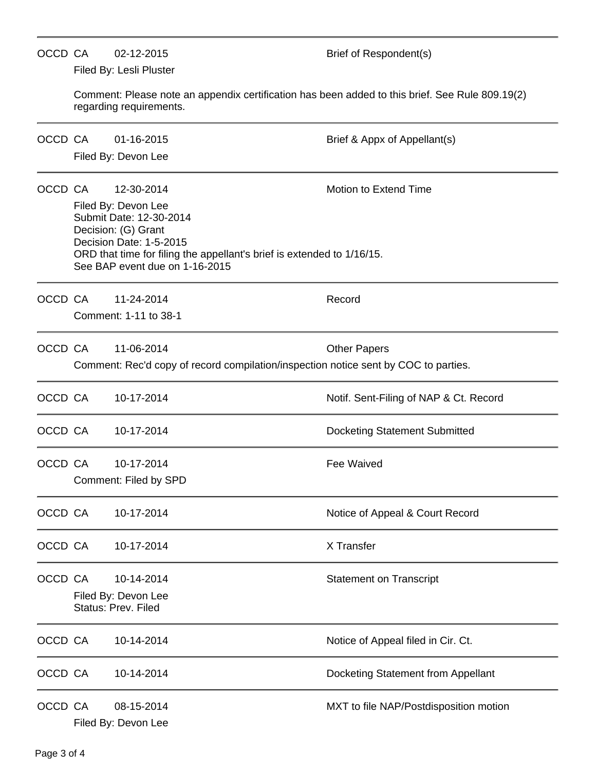|         | OCCD CA<br>02-12-2015<br>Filed By: Lesli Pluster                                                                                                                                                                                                    |                                                                                                   | Brief of Respondent(s)                 |  |  |  |  |
|---------|-----------------------------------------------------------------------------------------------------------------------------------------------------------------------------------------------------------------------------------------------------|---------------------------------------------------------------------------------------------------|----------------------------------------|--|--|--|--|
|         | Comment: Please note an appendix certification has been added to this brief. See Rule 809.19(2)<br>regarding requirements.                                                                                                                          |                                                                                                   |                                        |  |  |  |  |
| OCCD CA |                                                                                                                                                                                                                                                     | 01-16-2015<br>Filed By: Devon Lee                                                                 | Brief & Appx of Appellant(s)           |  |  |  |  |
| OCCD CA | Motion to Extend Time<br>12-30-2014<br>Filed By: Devon Lee<br>Submit Date: 12-30-2014<br>Decision: (G) Grant<br>Decision Date: 1-5-2015<br>ORD that time for filing the appellant's brief is extended to 1/16/15.<br>See BAP event due on 1-16-2015 |                                                                                                   |                                        |  |  |  |  |
|         | OCCD CA                                                                                                                                                                                                                                             | 11-24-2014<br>Comment: 1-11 to 38-1                                                               | Record                                 |  |  |  |  |
| OCCD CA |                                                                                                                                                                                                                                                     | 11-06-2014<br>Comment: Rec'd copy of record compilation/inspection notice sent by COC to parties. | <b>Other Papers</b>                    |  |  |  |  |
| OCCD CA |                                                                                                                                                                                                                                                     | 10-17-2014                                                                                        | Notif. Sent-Filing of NAP & Ct. Record |  |  |  |  |
| OCCD CA |                                                                                                                                                                                                                                                     | 10-17-2014                                                                                        | <b>Docketing Statement Submitted</b>   |  |  |  |  |
| OCCD CA |                                                                                                                                                                                                                                                     | 10-17-2014<br>Comment: Filed by SPD                                                               | <b>Fee Waived</b>                      |  |  |  |  |
| OCCD CA |                                                                                                                                                                                                                                                     | 10-17-2014                                                                                        | Notice of Appeal & Court Record        |  |  |  |  |
| OCCD CA |                                                                                                                                                                                                                                                     | 10-17-2014                                                                                        | X Transfer                             |  |  |  |  |
| OCCD CA |                                                                                                                                                                                                                                                     | 10-14-2014<br>Filed By: Devon Lee<br>Status: Prev. Filed                                          | <b>Statement on Transcript</b>         |  |  |  |  |
| OCCD CA |                                                                                                                                                                                                                                                     | 10-14-2014                                                                                        | Notice of Appeal filed in Cir. Ct.     |  |  |  |  |
| OCCD CA |                                                                                                                                                                                                                                                     | 10-14-2014                                                                                        | Docketing Statement from Appellant     |  |  |  |  |
| OCCD CA |                                                                                                                                                                                                                                                     | 08-15-2014<br>Filed By: Devon Lee                                                                 | MXT to file NAP/Postdisposition motion |  |  |  |  |